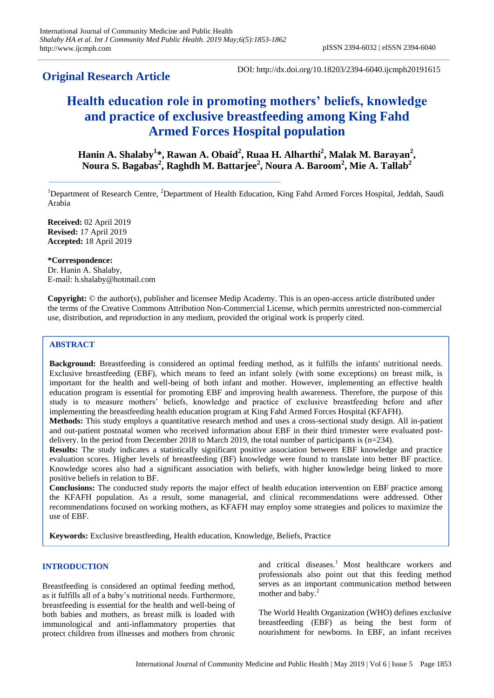# **Original Research Article**

DOI: http://dx.doi.org/10.18203/2394-6040.ijcmph20191615

# **Health education role in promoting mothers' beliefs, knowledge and practice of exclusive breastfeeding among King Fahd Armed Forces Hospital population**

**Hanin A. Shalaby<sup>1</sup> \*, Rawan A. Obaid<sup>2</sup> , Ruaa H. Alharthi<sup>2</sup> , Malak M. Barayan<sup>2</sup> , Noura S. Bagabas 2 , Raghdh M. Battarjee<sup>2</sup> , Noura A. Baroom<sup>2</sup> , Mie A. Tallab<sup>2</sup>**

<sup>1</sup>Department of Research Centre, <sup>2</sup>Department of Health Education, King Fahd Armed Forces Hospital, Jeddah, Saudi Arabia

**Received:** 02 April 2019 **Revised:** 17 April 2019 **Accepted:** 18 April 2019

**\*Correspondence:** Dr. Hanin A. Shalaby, E-mail: h.shalaby@hotmail.com

**Copyright:** © the author(s), publisher and licensee Medip Academy. This is an open-access article distributed under the terms of the Creative Commons Attribution Non-Commercial License, which permits unrestricted non-commercial use, distribution, and reproduction in any medium, provided the original work is properly cited.

# **ABSTRACT**

**Background:** Breastfeeding is considered an optimal feeding method, as it fulfills the infants' nutritional needs. Exclusive breastfeeding (EBF), which means to feed an infant solely (with some exceptions) on breast milk, is important for the health and well-being of both infant and mother. However, implementing an effective health education program is essential for promoting EBF and improving health awareness. Therefore, the purpose of this study is to measure mothers' beliefs, knowledge and practice of exclusive breastfeeding before and after implementing the breastfeeding health education program at King Fahd Armed Forces Hospital (KFAFH).

**Methods:** This study employs a quantitative research method and uses a cross-sectional study design. All in-patient and out-patient postnatal women who received information about EBF in their third trimester were evaluated postdelivery. In the period from December 2018 to March 2019, the total number of participants is (n=234).

**Results:** The study indicates a statistically significant positive association between EBF knowledge and practice evaluation scores. Higher levels of breastfeeding (BF) knowledge were found to translate into better BF practice. Knowledge scores also had a significant association with beliefs, with higher knowledge being linked to more positive beliefs in relation to BF.

**Conclusions:** The conducted study reports the major effect of health education intervention on EBF practice among the KFAFH population. As a result, some managerial, and clinical recommendations were addressed. Other recommendations focused on working mothers, as KFAFH may employ some strategies and polices to maximize the use of EBF.

**Keywords:** Exclusive breastfeeding, Health education, Knowledge, Beliefs, Practice

# **INTRODUCTION**

Breastfeeding is considered an optimal feeding method, as it fulfills all of a baby's nutritional needs. Furthermore, breastfeeding is essential for the health and well-being of both babies and mothers, as breast milk is loaded with immunological and anti-inflammatory properties that protect children from illnesses and mothers from chronic and critical diseases.<sup>1</sup> Most healthcare workers and professionals also point out that this feeding method serves as an important communication method between mother and baby.<sup>2</sup>

The World Health Organization (WHO) defines exclusive breastfeeding (EBF) as being the best form of nourishment for newborns. In EBF, an infant receives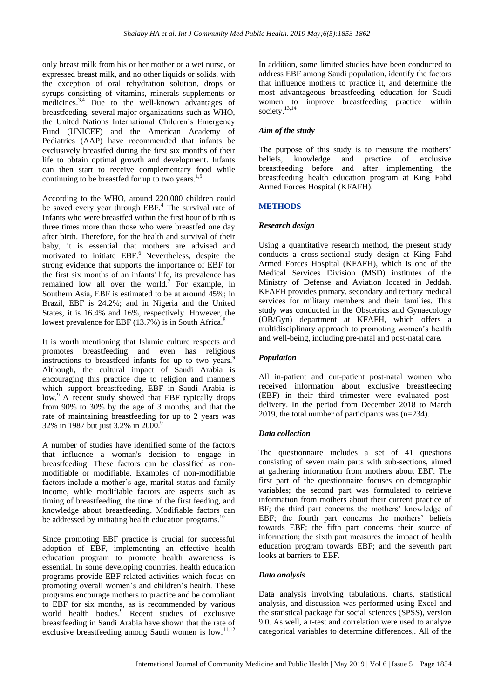only breast milk from his or her mother or a wet nurse, or expressed breast milk, and no other liquids or solids, with the exception of oral rehydration solution, drops or syrups consisting of vitamins, minerals supplements or medicines.<sup>3,4</sup> Due to the well-known advantages of breastfeeding, several major organizations such as WHO, the United Nations International Children's Emergency Fund (UNICEF) and the American Academy of Pediatrics (AAP) have recommended that infants be exclusively breastfed during the first six months of their life to obtain optimal growth and development. Infants can then start to receive complementary food while continuing to be breastfed for up to two years.<sup>1,5</sup>

According to the WHO, around 220,000 children could be saved every year through EBF.<sup>4</sup> The survival rate of Infants who were breastfed within the first hour of birth is three times more than those who were breastfed one day after birth. Therefore, for the health and survival of their baby, it is essential that mothers are advised and motivated to initiate  $EBF<sup>6</sup>$  Nevertheless, despite the strong evidence that supports the importance of EBF for the first six months of an infants' life, its prevalence has remained low all over the world.<sup>7</sup> For example, in Southern Asia, EBF is estimated to be at around 45%; in Brazil, EBF is 24.2%; and in Nigeria and the United States, it is 16.4% and 16%, respectively. However, the lowest prevalence for EBF  $(13.7\%)$  is in South Africa.<sup>8</sup>

It is worth mentioning that Islamic culture respects and promotes breastfeeding and even has religious instructions to breastfeed infants for up to two years.<sup>9</sup> Although, the cultural impact of Saudi Arabia is encouraging this practice due to religion and manners which support breastfeeding, EBF in Saudi Arabia is low.<sup>9</sup> A recent study showed that EBF typically drops from 90% to 30% by the age of 3 months, and that the rate of maintaining breastfeeding for up to 2 years was 32% in 1987 but just 3.2% in 2000.<sup>9</sup>

A number of studies have identified some of the factors that influence a woman's decision to engage in breastfeeding. These factors can be classified as nonmodifiable or modifiable. Examples of non-modifiable factors include a mother's age, marital status and family income, while modifiable factors are aspects such as timing of breastfeeding, the time of the first feeding, and knowledge about breastfeeding. Modifiable factors can be addressed by initiating health education programs.<sup>10</sup>

Since promoting EBF practice is crucial for successful adoption of EBF, implementing an effective health education program to promote health awareness is essential. In some developing countries, health education programs provide EBF-related activities which focus on promoting overall women's and children's health. These programs encourage mothers to practice and be compliant to EBF for six months, as is recommended by various world health bodies.<sup>9</sup> Recent studies of exclusive breastfeeding in Saudi Arabia have shown that the rate of exclusive breastfeeding among Saudi women is low.<sup>11,12</sup> In addition, some limited studies have been conducted to address EBF among Saudi population, identify the factors that influence mothers to practice it, and determine the most advantageous breastfeeding education for Saudi women to improve breastfeeding practice within society.13,14

### *Aim of the study*

The purpose of this study is to measure the mothers' beliefs, knowledge and practice of exclusive breastfeeding before and after implementing the breastfeeding health education program at King Fahd Armed Forces Hospital (KFAFH).

# **METHODS**

#### *Research design*

Using a quantitative research method, the present study conducts a cross-sectional study design at King Fahd Armed Forces Hospital (KFAFH), which is one of the Medical Services Division (MSD) institutes of the Ministry of Defense and Aviation located in Jeddah. KFAFH provides primary, secondary and tertiary medical services for military members and their families. This study was conducted in the Obstetrics and Gynaecology (OB/Gyn) department at KFAFH, which offers a multidisciplinary approach to promoting women's health and well-being, including pre-natal and post-natal care*.*

# *Population*

All in-patient and out-patient post-natal women who received information about exclusive breastfeeding (EBF) in their third trimester were evaluated postdelivery. In the period from December 2018 to March 2019, the total number of participants was (n=234).

#### *Data collection*

The questionnaire includes a set of 41 questions consisting of seven main parts with sub-sections, aimed at gathering information from mothers about EBF. The first part of the questionnaire focuses on demographic variables; the second part was formulated to retrieve information from mothers about their current practice of BF; the third part concerns the mothers' knowledge of EBF; the fourth part concerns the mothers' beliefs towards EBF; the fifth part concerns their source of information; the sixth part measures the impact of health education program towards EBF; and the seventh part looks at barriers to EBF.

#### *Data analysis*

Data analysis involving tabulations, charts, statistical analysis, and discussion was performed using Excel and the statistical package for social sciences (SPSS), version 9.0. As well, a t-test and correlation were used to analyze categorical variables to determine differences,. All of the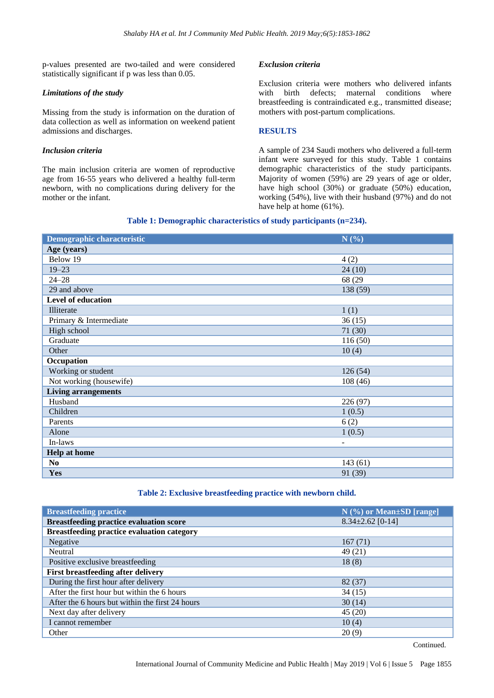p-values presented are two-tailed and were considered statistically significant if p was less than 0.05.

#### *Limitations of the study*

Missing from the study is information on the duration of data collection as well as information on weekend patient admissions and discharges.

#### *Inclusion criteria*

The main inclusion criteria are women of reproductive age from 16-55 years who delivered a healthy full-term newborn, with no complications during delivery for the mother or the infant.

# *Exclusion criteria*

Exclusion criteria were mothers who delivered infants with birth defects; maternal conditions where breastfeeding is contraindicated e.g., transmitted disease; mothers with post-partum complications.

# **RESULTS**

A sample of 234 Saudi mothers who delivered a full-term infant were surveyed for this study. Table 1 contains demographic characteristics of the study participants. Majority of women (59%) are 29 years of age or older, have high school (30%) or graduate (50%) education, working (54%), live with their husband (97%) and do not have help at home (61%).

# **Table 1: Demographic characteristics of study participants (n=234).**

| Demographic characteristic | N(%)                     |
|----------------------------|--------------------------|
| Age (years)                |                          |
| Below 19                   | 4(2)                     |
| $19 - 23$                  | 24(10)                   |
| $24 - 28$                  | 68 (29)                  |
| 29 and above               | 138 (59)                 |
| Level of education         |                          |
| Illiterate                 | 1(1)                     |
| Primary & Intermediate     | 36(15)                   |
| High school                | 71 (30)                  |
| Graduate                   | 116(50)                  |
| Other                      | 10(4)                    |
| Occupation                 |                          |
| Working or student         | 126(54)                  |
| Not working (housewife)    | 108(46)                  |
| <b>Living arrangements</b> |                          |
| Husband                    | 226 (97)                 |
| Children                   | 1(0.5)                   |
| Parents                    | 6(2)                     |
| Alone                      | 1(0.5)                   |
| In-laws                    | $\overline{\phantom{a}}$ |
| <b>Help at home</b>        |                          |
| N <sub>0</sub>             | 143(61)                  |
| <b>Yes</b>                 | 91 (39)                  |

# **Table 2: Exclusive breastfeeding practice with newborn child.**

| <b>Breastfeeding practice</b>                     | $N$ (%) or Mean $\pm$ SD [range] |
|---------------------------------------------------|----------------------------------|
| <b>Breastfeeding practice evaluation score</b>    | $8.34 \pm 2.62$ [0-14]           |
| <b>Breastfeeding practice evaluation category</b> |                                  |
| Negative                                          | 167(71)                          |
| Neutral                                           | 49 (21)                          |
| Positive exclusive breastfeeding                  | 18(8)                            |
| <b>First breastfeeding after delivery</b>         |                                  |
| During the first hour after delivery              | 82(37)                           |
| After the first hour but within the 6 hours       | 34(15)                           |
| After the 6 hours but within the first 24 hours   | 30(14)                           |
| Next day after delivery                           | 45(20)                           |
| I cannot remember                                 | 10(4)                            |
| Other                                             | 20(9)                            |

Continued.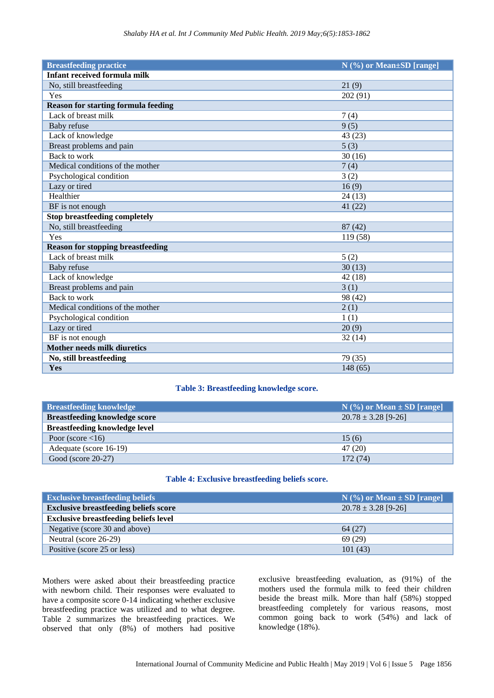| <b>Breastfeeding practice</b>              | N (%) or Mean±SD [range] |
|--------------------------------------------|--------------------------|
| <b>Infant received formula milk</b>        |                          |
| No, still breastfeeding                    | 21(9)                    |
| Yes                                        | 202 (91)                 |
| <b>Reason for starting formula feeding</b> |                          |
| Lack of breast milk                        | 7(4)                     |
| Baby refuse                                | 9(5)                     |
| Lack of knowledge                          | 43 (23)                  |
| Breast problems and pain                   | 5(3)                     |
| Back to work                               | 30(16)                   |
| Medical conditions of the mother           | 7(4)                     |
| Psychological condition                    | 3(2)                     |
| Lazy or tired                              | 16(9)                    |
| Healthier                                  | 24(13)                   |
| BF is not enough                           | 41 (22)                  |
| <b>Stop breastfeeding completely</b>       |                          |
| No, still breastfeeding                    | 87(42)                   |
| Yes                                        | 119 (58)                 |
| <b>Reason for stopping breastfeeding</b>   |                          |
| Lack of breast milk                        | 5(2)                     |
| Baby refuse                                | 30(13)                   |
| Lack of knowledge                          | 42(18)                   |
| Breast problems and pain                   | 3(1)                     |
| Back to work                               | 98 (42)                  |
| Medical conditions of the mother           | 2(1)                     |
| Psychological condition                    | 1(1)                     |
| Lazy or tired                              | 20(9)                    |
| BF is not enough                           | 32(14)                   |
| <b>Mother needs milk diuretics</b>         |                          |
| No, still breastfeeding                    | 79 (35)                  |
| Yes                                        | 148(65)                  |

### **Table 3: Breastfeeding knowledge score.**

| <b>Breastfeeding knowledge</b>       | $N$ (%) or Mean $\pm$ SD [range] |
|--------------------------------------|----------------------------------|
| <b>Breastfeeding knowledge score</b> | $20.78 \pm 3.28$ [9-26]          |
| <b>Breastfeeding knowledge level</b> |                                  |
| Poor (score $\langle 16 \rangle$ )   | 15(6)                            |
| Adequate (score 16-19)               | 47 (20)                          |
| Good (score $20-27$ )                | 172 (74)                         |

# **Table 4: Exclusive breastfeeding beliefs score.**

| <b>Exclusive breastfeeding beliefs</b>       | $N$ (%) or Mean $\pm$ SD [range] |
|----------------------------------------------|----------------------------------|
| <b>Exclusive breastfeeding beliefs score</b> | $20.78 \pm 3.28$ [9-26]          |
| <b>Exclusive breastfeeding beliefs level</b> |                                  |
| Negative (score 30 and above)                | 64(27)                           |
| Neutral (score 26-29)                        | 69(29)                           |
| Positive (score 25 or less)                  | 101(43)                          |

Mothers were asked about their breastfeeding practice with newborn child. Their responses were evaluated to have a composite score 0-14 indicating whether exclusive breastfeeding practice was utilized and to what degree. Table 2 summarizes the breastfeeding practices. We observed that only (8%) of mothers had positive

exclusive breastfeeding evaluation, as (91%) of the mothers used the formula milk to feed their children beside the breast milk. More than half (58%) stopped breastfeeding completely for various reasons, most common going back to work (54%) and lack of knowledge (18%).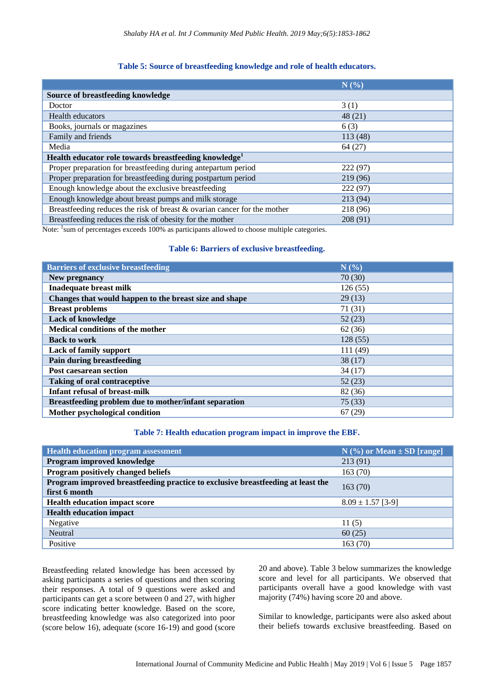#### **Table 5: Source of breastfeeding knowledge and role of health educators.**

|                                                                                                                                                                                                                                                                                                                                                              | N(%)     |  |  |  |
|--------------------------------------------------------------------------------------------------------------------------------------------------------------------------------------------------------------------------------------------------------------------------------------------------------------------------------------------------------------|----------|--|--|--|
| <b>Source of breastfeeding knowledge</b>                                                                                                                                                                                                                                                                                                                     |          |  |  |  |
| Doctor                                                                                                                                                                                                                                                                                                                                                       | 3(1)     |  |  |  |
| Health educators                                                                                                                                                                                                                                                                                                                                             | 48(21)   |  |  |  |
| Books, journals or magazines                                                                                                                                                                                                                                                                                                                                 | 6(3)     |  |  |  |
| Family and friends                                                                                                                                                                                                                                                                                                                                           | 113(48)  |  |  |  |
| Media                                                                                                                                                                                                                                                                                                                                                        | 64(27)   |  |  |  |
| Health educator role towards breastfeeding knowledge <sup>1</sup>                                                                                                                                                                                                                                                                                            |          |  |  |  |
| Proper preparation for breastfeeding during antepartum period                                                                                                                                                                                                                                                                                                | 222(97)  |  |  |  |
| Proper preparation for breastfeeding during postpartum period                                                                                                                                                                                                                                                                                                | 219(96)  |  |  |  |
| Enough knowledge about the exclusive breastfeeding                                                                                                                                                                                                                                                                                                           | 222(97)  |  |  |  |
| Enough knowledge about breast pumps and milk storage                                                                                                                                                                                                                                                                                                         | 213 (94) |  |  |  |
| Breastfeeding reduces the risk of breast & ovarian cancer for the mother                                                                                                                                                                                                                                                                                     | 218 (96) |  |  |  |
| Breastfeeding reduces the risk of obesity for the mother<br>$\mathbf{M}$ and $\mathbf{M}$ and $\mathbf{M}$ and $\mathbf{M}$ and $\mathbf{M}$ and $\mathbf{M}$ and $\mathbf{M}$ and $\mathbf{M}$ and $\mathbf{M}$ and $\mathbf{M}$ and $\mathbf{M}$ and $\mathbf{M}$ and $\mathbf{M}$ and $\mathbf{M}$ and $\mathbf{M}$ and $\mathbf{M}$ and $\mathbf{M}$ and | 208 (91) |  |  |  |

Note: <sup>1</sup>sum of percentages exceeds 100% as participants allowed to choose multiple categories.

#### **Table 6: Barriers of exclusive breastfeeding.**

| <b>Barriers of exclusive breastfeeding</b>             | N(%)    |
|--------------------------------------------------------|---------|
| New pregnancy                                          | 70(30)  |
| <b>Inadequate breast milk</b>                          | 126(55) |
| Changes that would happen to the breast size and shape | 29(13)  |
| <b>Breast problems</b>                                 | 71 (31) |
| <b>Lack of knowledge</b>                               | 52(23)  |
| Medical conditions of the mother                       | 62(36)  |
| <b>Back to work</b>                                    | 128(55) |
| <b>Lack of family support</b>                          | 111(49) |
| Pain during breastfeeding                              | 38(17)  |
| Post caesarean section                                 | 34(17)  |
| <b>Taking of oral contraceptive</b>                    | 52(23)  |
| <b>Infant refusal of breast-milk</b>                   | 82 (36) |
| Breastfeeding problem due to mother/infant separation  | 75(33)  |
| Mother psychological condition                         | 67(29)  |

#### **Table 7: Health education program impact in improve the EBF.**

| <b>Health education program assessment</b>                                                       | $N$ (%) or Mean $\pm$ SD [range] |
|--------------------------------------------------------------------------------------------------|----------------------------------|
| Program improved knowledge                                                                       | 213 (91)                         |
| Program positively changed beliefs                                                               | 163(70)                          |
| Program improved breastfeeding practice to exclusive breastfeeding at least the<br>first 6 month | 163(70)                          |
| <b>Health education impact score</b>                                                             | $8.09 \pm 1.57$ [3-9]            |
| <b>Health education impact</b>                                                                   |                                  |
| Negative                                                                                         | 11(5)                            |
| Neutral                                                                                          | 60(25)                           |
| Positive                                                                                         | 163 (70)                         |

Breastfeeding related knowledge has been accessed by asking participants a series of questions and then scoring their responses. A total of 9 questions were asked and participants can get a score between 0 and 27, with higher score indicating better knowledge. Based on the score, breastfeeding knowledge was also categorized into poor (score below 16), adequate (score 16-19) and good (score 20 and above). Table 3 below summarizes the knowledge score and level for all participants. We observed that participants overall have a good knowledge with vast majority (74%) having score 20 and above.

Similar to knowledge, participants were also asked about their beliefs towards exclusive breastfeeding. Based on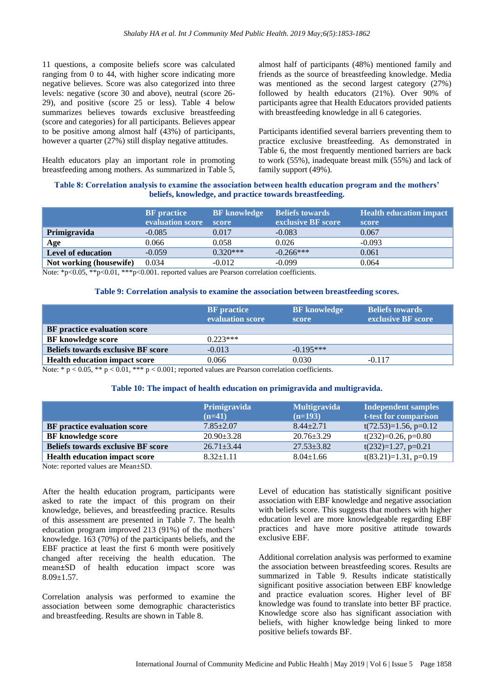11 questions, a composite beliefs score was calculated ranging from 0 to 44, with higher score indicating more negative believes. Score was also categorized into three levels: negative (score 30 and above), neutral (score 26- 29), and positive (score 25 or less). Table 4 below summarizes believes towards exclusive breastfeeding (score and categories) for all participants. Believes appear to be positive among almost half (43%) of participants, however a quarter (27%) still display negative attitudes.

Health educators play an important role in promoting breastfeeding among mothers. As summarized in Table 5, almost half of participants (48%) mentioned family and friends as the source of breastfeeding knowledge. Media was mentioned as the second largest category (27%) followed by health educators (21%). Over 90% of participants agree that Health Educators provided patients with breastfeeding knowledge in all 6 categories.

Participants identified several barriers preventing them to practice exclusive breastfeeding. As demonstrated in Table 6, the most frequently mentioned barriers are back to work (55%), inadequate breast milk (55%) and lack of family support (49%).

### **Table 8: Correlation analysis to examine the association between health education program and the mothers' beliefs, knowledge, and practice towards breastfeeding.**

|                           | <b>BF</b> practice<br>evaluation score | <b>BF</b> knowledge<br>score | <b>Beliefs towards</b><br>exclusive BF score | <b>Health education impact</b><br>score |
|---------------------------|----------------------------------------|------------------------------|----------------------------------------------|-----------------------------------------|
| Primigravida              | $-0.085$                               | 0.017                        | $-0.083$                                     | 0.067                                   |
| Age                       | 0.066                                  | 0.058                        | 0.026                                        | $-0.093$                                |
| <b>Level of education</b> | $-0.059$                               | $0.320***$                   | $-0.266***$                                  | 0.061                                   |
| Not working (housewife)   | 0.034                                  | $-0.012$                     | $-0.099$                                     | 0.064                                   |

Note: \*p<0.05, \*\*p<0.01, \*\*\*p<0.001. reported values are Pearson correlation coefficients.

#### **Table 9: Correlation analysis to examine the association between breastfeeding scores.**

|                                           | <b>BF</b> practice<br>evaluation score | <b>BF</b> knowledge<br>score | <b>Beliefs towards</b><br>exclusive BF score |
|-------------------------------------------|----------------------------------------|------------------------------|----------------------------------------------|
| BF practice evaluation score              |                                        |                              |                                              |
| <b>BF</b> knowledge score                 | $0.223***$                             |                              |                                              |
| <b>Beliefs towards exclusive BF score</b> | $-0.013$                               | $-0.195***$                  |                                              |
| <b>Health education impact score</b>      | 0.066                                  | 0.030                        | $-0.117$                                     |

Note: \*  $p < 0.05$ , \*\*  $p < 0.01$ , \*\*\*  $p < 0.001$ ; reported values are Pearson correlation coefficients.

#### **Table 10: The impact of health education on primigravida and multigravida.**

|                                           | Primigravida<br>$(n=41)$ | <b>Multigravida</b><br>$(n=193)$ | <b>Independent samples</b><br>t-test for comparison |
|-------------------------------------------|--------------------------|----------------------------------|-----------------------------------------------------|
| BF practice evaluation score              | $7.85 \pm 2.07$          | $8.44 \pm 2.71$                  | $t(72.53)=1.56$ , p=0.12                            |
| <b>BF</b> knowledge score                 | $20.90 \pm 3.28$         | $20.76 \pm 3.29$                 | $t(232)=0.26$ , $p=0.80$                            |
| <b>Beliefs towards exclusive BF score</b> | $26.71 \pm 3.44$         | $27.53 \pm 3.82$                 | $t(232)=1.27$ , $p=0.21$                            |
| <b>Health education impact score</b>      | $8.32 \pm 1.11$          | $8.04 \pm 1.66$                  | $t(83.21)=1.31, p=0.19$                             |

Note: reported values are Mean±SD.

After the health education program, participants were asked to rate the impact of this program on their knowledge, believes, and breastfeeding practice. Results of this assessment are presented in Table 7. The health education program improved 213 (91%) of the mothers' knowledge. 163 (70%) of the participants beliefs, and the EBF practice at least the first 6 month were positively changed after receiving the health education. The mean**±**SD of health education impact score was  $8.09 \pm 1.57$ .

Correlation analysis was performed to examine the association between some demographic characteristics and breastfeeding. Results are shown in Table 8.

Level of education has statistically significant positive association with EBF knowledge and negative association with beliefs score. This suggests that mothers with higher education level are more knowledgeable regarding EBF practices and have more positive attitude towards exclusive EBF.

Additional correlation analysis was performed to examine the association between breastfeeding scores. Results are summarized in Table 9. Results indicate statistically significant positive association between EBF knowledge and practice evaluation scores. Higher level of BF knowledge was found to translate into better BF practice. Knowledge score also has significant association with beliefs, with higher knowledge being linked to more positive beliefs towards BF.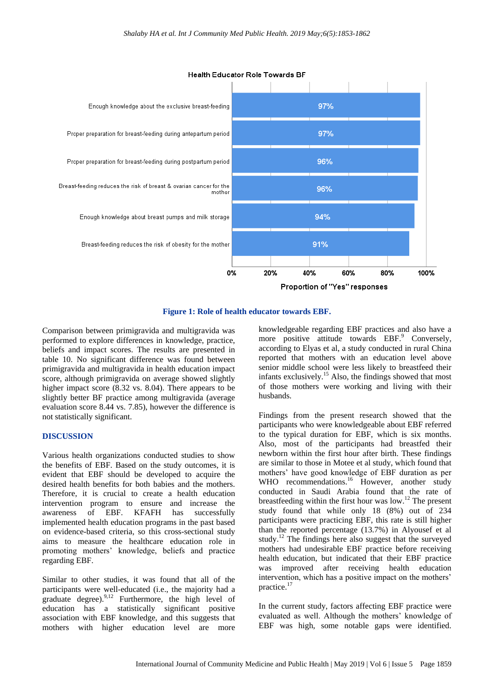

**Health Educator Role Towards BF** 

#### **Figure 1: Role of health educator towards EBF.**

Comparison between primigravida and multigravida was performed to explore differences in knowledge, practice, beliefs and impact scores. The results are presented in table 10. No significant difference was found between primigravida and multigravida in health education impact score, although primigravida on average showed slightly higher impact score (8.32 vs. 8.04). There appears to be slightly better BF practice among multigravida (average evaluation score 8.44 vs. 7.85), however the difference is not statistically significant.

#### **DISCUSSION**

Various health organizations conducted studies to show the benefits of EBF. Based on the study outcomes, it is evident that EBF should be developed to acquire the desired health benefits for both babies and the mothers. Therefore, it is crucial to create a health education intervention program to ensure and increase the awareness of EBF. KFAFH has successfully implemented health education programs in the past based on evidence-based criteria, so this cross-sectional study aims to measure the healthcare education role in promoting mothers' knowledge, beliefs and practice regarding EBF.

Similar to other studies, it was found that all of the participants were well-educated (i.e., the majority had a graduate degree).<sup>9,12</sup> Furthermore, the high level of education has a statistically significant positive association with EBF knowledge, and this suggests that mothers with higher education level are more knowledgeable regarding EBF practices and also have a more positive attitude towards EBF.<sup>9</sup> Conversely, according to Elyas et al, a study conducted in rural China reported that mothers with an education level above senior middle school were less likely to breastfeed their infants exclusively.<sup>15</sup> Also, the findings showed that most of those mothers were working and living with their husbands.

Findings from the present research showed that the participants who were knowledgeable about EBF referred to the typical duration for EBF, which is six months. Also, most of the participants had breastfed their newborn within the first hour after birth. These findings are similar to those in Motee et al study, which found that mothers' have good knowledge of EBF duration as per WHO recommendations.<sup>16</sup> However, another study conducted in Saudi Arabia found that the rate of breastfeeding within the first hour was low.<sup>12</sup> The present study found that while only 18 (8%) out of 234 participants were practicing EBF, this rate is still higher than the reported percentage (13.7%) in Alyousef et al study.<sup>12</sup> The findings here also suggest that the surveyed mothers had undesirable EBF practice before receiving health education, but indicated that their EBF practice was improved after receiving health education intervention, which has a positive impact on the mothers' practice.<sup>17</sup>

In the current study, factors affecting EBF practice were evaluated as well. Although the mothers' knowledge of EBF was high, some notable gaps were identified.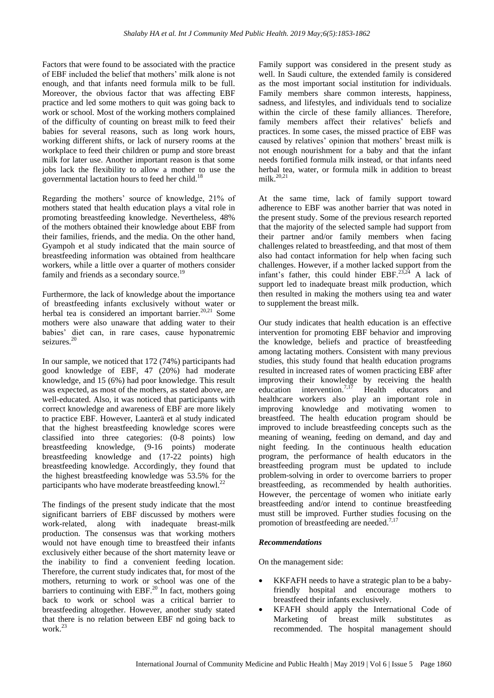Factors that were found to be associated with the practice of EBF included the belief that mothers' milk alone is not enough, and that infants need formula milk to be full. Moreover, the obvious factor that was affecting EBF practice and led some mothers to quit was going back to work or school. Most of the working mothers complained of the difficulty of counting on breast milk to feed their babies for several reasons, such as long work hours, working different shifts, or lack of nursery rooms at the workplace to feed their children or pump and store breast milk for later use. Another important reason is that some jobs lack the flexibility to allow a mother to use the governmental lactation hours to feed her child.<sup>18</sup>

Regarding the mothers' source of knowledge, 21% of mothers stated that health education plays a vital role in promoting breastfeeding knowledge. Nevertheless, 48% of the mothers obtained their knowledge about EBF from their families, friends, and the media. On the other hand, Gyampoh et al study indicated that the main source of breastfeeding information was obtained from healthcare workers, while a little over a quarter of mothers consider family and friends as a secondary source.<sup>19</sup>

Furthermore, the lack of knowledge about the importance of breastfeeding infants exclusively without water or herbal tea is considered an important barrier.<sup>20,21</sup> Some mothers were also unaware that adding water to their babies' diet can, in rare cases, cause hyponatremic seizures.<sup>20</sup>

In our sample, we noticed that 172 (74%) participants had good knowledge of EBF, 47 (20%) had moderate knowledge, and 15 (6%) had poor knowledge. This result was expected, as most of the mothers, as stated above, are well-educated. Also, it was noticed that participants with correct knowledge and awareness of EBF are more likely to practice EBF. However, Laanterä et al study indicated that the highest breastfeeding knowledge scores were classified into three categories: (0-8 points) low breastfeeding knowledge, (9-16 points) moderate breastfeeding knowledge and (17-22 points) high breastfeeding knowledge. Accordingly, they found that the highest breastfeeding knowledge was 53.5% for the participants who have moderate breastfeeding knowl.<sup>22</sup>

The findings of the present study indicate that the most significant barriers of EBF discussed by mothers were work-related, along with inadequate breast-milk production. The consensus was that working mothers would not have enough time to breastfeed their infants exclusively either because of the short maternity leave or the inability to find a convenient feeding location. Therefore, the current study indicates that, for most of the mothers, returning to work or school was one of the barriers to continuing with EBF.<sup>20</sup> In fact, mothers going back to work or school was a critical barrier to breastfeeding altogether. However, another study stated that there is no relation between EBF nd going back to work.<sup>23</sup>

Family support was considered in the present study as well. In Saudi culture, the extended family is considered as the most important social institution for individuals. Family members share common interests, happiness, sadness, and lifestyles, and individuals tend to socialize within the circle of these family alliances. Therefore, family members affect their relatives' beliefs and practices. In some cases, the missed practice of EBF was caused by relatives' opinion that mothers' breast milk is not enough nourishment for a baby and that the infant needs fortified formula milk instead, or that infants need herbal tea, water, or formula milk in addition to breast milk. $20,21$ 

At the same time, lack of family support toward adherence to EBF was another barrier that was noted in the present study. Some of the previous research reported that the majority of the selected sample had support from their partner and/or family members when facing challenges related to breastfeeding, and that most of them also had contact information for help when facing such challenges. However, if a mother lacked support from the infant's father, this could hinder  $EBF$ <sup>23,24</sup> A lack of support led to inadequate breast milk production, which then resulted in making the mothers using tea and water to supplement the breast milk.

Our study indicates that health education is an effective intervention for promoting EBF behavior and improving the knowledge, beliefs and practice of breastfeeding among lactating mothers. Consistent with many previous studies, this study found that health education programs resulted in increased rates of women practicing EBF after improving their knowledge by receiving the health education intervention.<sup>7,17</sup> Health educators and healthcare workers also play an important role in improving knowledge and motivating women to breastfeed. The health education program should be improved to include breastfeeding concepts such as the meaning of weaning, feeding on demand, and day and night feeding. In the continuous health education program, the performance of health educators in the breastfeeding program must be updated to include problem-solving in order to overcome barriers to proper breastfeeding, as recommended by health authorities. However, the percentage of women who initiate early breastfeeding and/or intend to continue breastfeeding must still be improved. Further studies focusing on the promotion of breastfeeding are needed.<sup>7,17</sup>

# *Recommendations*

On the management side:

- KKFAFH needs to have a strategic plan to be a babyfriendly hospital and encourage mothers to breastfeed their infants exclusively.
- KFAFH should apply the International Code of Marketing of breast milk substitutes as recommended. The hospital management should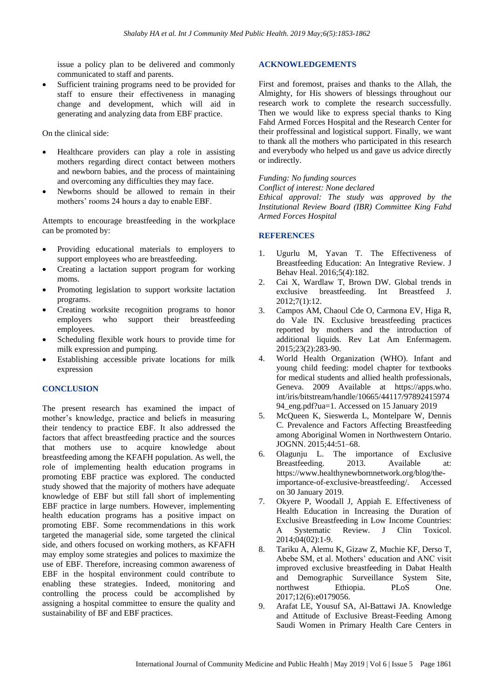issue a policy plan to be delivered and commonly communicated to staff and parents.

 Sufficient training programs need to be provided for staff to ensure their effectiveness in managing change and development, which will aid in generating and analyzing data from EBF practice.

On the clinical side:

- Healthcare providers can play a role in assisting mothers regarding direct contact between mothers and newborn babies, and the process of maintaining and overcoming any difficulties they may face.
- Newborns should be allowed to remain in their mothers' rooms 24 hours a day to enable EBF.

Attempts to encourage breastfeeding in the workplace can be promoted by:

- Providing educational materials to employers to support employees who are breastfeeding.
- Creating a lactation support program for working moms.
- Promoting legislation to support worksite lactation programs.
- Creating worksite recognition programs to honor employers who support their breastfeeding employees.
- Scheduling flexible work hours to provide time for milk expression and pumping.
- Establishing accessible private locations for milk expression

# **CONCLUSION**

The present research has examined the impact of mother's knowledge, practice and beliefs in measuring their tendency to practice EBF. It also addressed the factors that affect breastfeeding practice and the sources that mothers use to acquire knowledge about breastfeeding among the KFAFH population. As well, the role of implementing health education programs in promoting EBF practice was explored. The conducted study showed that the majority of mothers have adequate knowledge of EBF but still fall short of implementing EBF practice in large numbers. However, implementing health education programs has a positive impact on promoting EBF. Some recommendations in this work targeted the managerial side, some targeted the clinical side, and others focused on working mothers, as KFAFH may employ some strategies and polices to maximize the use of EBF. Therefore, increasing common awareness of EBF in the hospital environment could contribute to enabling these strategies. Indeed, monitoring and controlling the process could be accomplished by assigning a hospital committee to ensure the quality and sustainability of BF and EBF practices.

# **ACKNOWLEDGEMENTS**

First and foremost, praises and thanks to the Allah, the Almighty, for His showers of blessings throughout our research work to complete the research successfully. Then we would like to express special thanks to King Fahd Armed Forces Hospital and the Research Center for their proffessinal and logistical support. Finally, we want to thank all the mothers who participated in this research and everybody who helped us and gave us advice directly or indirectly.

# *Funding: No funding sources*

*Conflict of interest: None declared*

*Ethical approval: The study was approved by the Institutional Review Board (IBR) Committee King Fahd Armed Forces Hospital*

# **REFERENCES**

- 1. Ugurlu M, Yavan T. The Effectiveness of Breastfeeding Education: An Integrative Review. J Behav Heal. 2016;5(4):182.
- 2. Cai X, Wardlaw T, Brown DW. Global trends in exclusive breastfeeding. Int Breastfeed J. 2012;7(1):12.
- 3. Campos AM, Chaoul Cde O, Carmona EV, Higa R, do Vale IN. Exclusive breastfeeding practices reported by mothers and the introduction of additional liquids. Rev Lat Am Enfermagem. 2015;23(2):283-90.
- 4. World Health Organization (WHO). Infant and young child feeding: model chapter for textbooks for medical students and allied health professionals, Geneva. 2009 Available at https://apps.who. int/iris/bitstream/handle/10665/44117/97892415974 94 eng.pdf?ua=1. Accessed on 15 January 2019
- 5. McQueen K, Sieswerda L, Montelpare W, Dennis C. Prevalence and Factors Affecting Breastfeeding among Aboriginal Women in Northwestern Ontario. JOGNN. 2015;44:51–68.
- 6. Olagunju L. The importance of Exclusive Breastfeeding. 2013. Available at: https://www.healthynewbornnetwork.org/blog/theimportance-of-exclusive-breastfeeding/. Accessed on 30 January 2019.
- 7. Okyere P, Woodall J, Appiah E. Effectiveness of Health Education in Increasing the Duration of Exclusive Breastfeeding in Low Income Countries: A Systematic Review. J Clin Toxicol. 2014;04(02):1-9.
- 8. Tariku A, Alemu K, Gizaw Z, Muchie KF, Derso T, Abebe SM, et al. Mothers' education and ANC visit improved exclusive breastfeeding in Dabat Health and Demographic Surveillance System Site, northwest Ethiopia. PLoS One. 2017;12(6):e0179056.
- 9. Arafat LE, Yousuf SA, Al-Battawi JA. Knowledge and Attitude of Exclusive Breast-Feeding Among Saudi Women in Primary Health Care Centers in